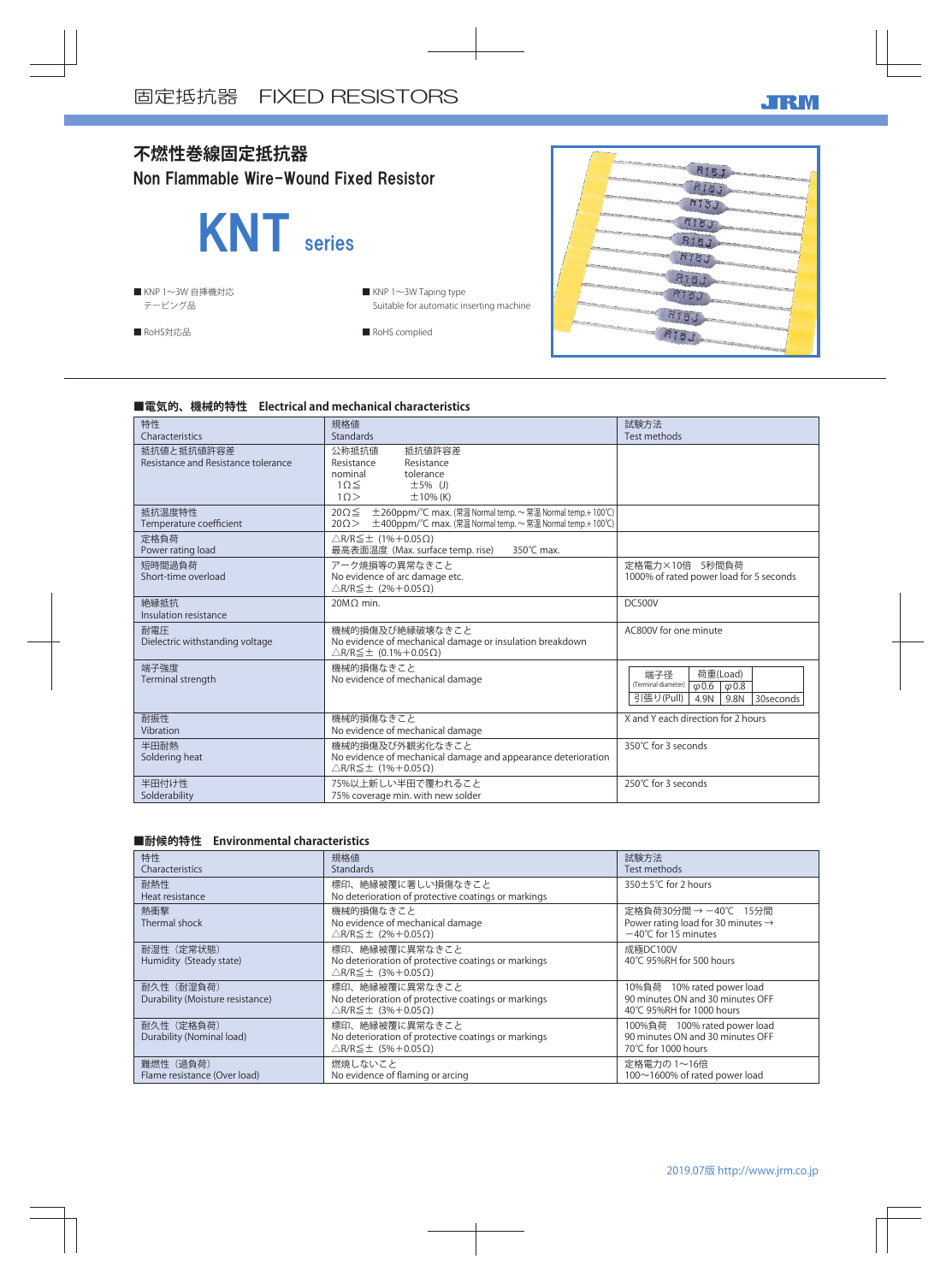

## **■電気的、機械的特性 Electrical and mechanical characteristics**

| 特性<br>Characteristics                             | 規格値<br><b>Standards</b>                                                                                                                                 | 試験方法<br>Test methods                                                                                            |
|---------------------------------------------------|---------------------------------------------------------------------------------------------------------------------------------------------------------|-----------------------------------------------------------------------------------------------------------------|
| 抵抗値と抵抗値許容差<br>Resistance and Resistance tolerance | 公称抵抗值<br>抵抗値許容差<br>Resistance<br>Resistance<br>tolerance<br>nominal<br>$1\Omega \leq$<br>$\pm$ 5% (J)<br>10><br>$\pm$ 10% (K)                           |                                                                                                                 |
| 抵抗温度特性<br>Temperature coefficient                 | $20 \Omega \leq$<br>±260ppm/°C max. (常温 Normal temp. ~ 常温 Normal temp.+100°C)<br>±400ppm/℃ max. (常温 Normal temp. ~ 常温 Normal temp.+ 100℃)<br>$20\Omega$ |                                                                                                                 |
| 定格負荷<br>Power rating load                         | $\triangle$ R/R $\leq$ ± (1%+0.05 $\Omega$ )<br>最高表面温度 (Max. surface temp. rise)<br>350°C max.                                                          |                                                                                                                 |
| 短時間過負荷<br>Short-time overload                     | アーク焼損等の異常なきこと<br>No evidence of arc damage etc.<br>$\triangle$ R/R $\leq$ ± (2%+0.05 $\Omega$ )                                                         | 定格電力×10倍 5秒間負荷<br>1000% of rated power load for 5 seconds                                                       |
| 絶縁抵抗<br>Insulation resistance                     | 20MO min.                                                                                                                                               | DC500V                                                                                                          |
| 耐電圧<br>Dielectric withstanding voltage            | 機械的損傷及び絶縁破壊なきこと<br>No evidence of mechanical damage or insulation breakdown<br>$\triangle$ R/R $\leq$ ± (0.1%+0.05 $\Omega$ )                           | AC800V for one minute                                                                                           |
| 端子強度<br>Terminal strength                         | 機械的損傷なきこと<br>No evidence of mechanical damage                                                                                                           | 端子径<br>荷重(Load)<br>(Terminal diameter)<br>$\varphi$ 0.6 $\varphi$ 0.8<br>引張り(Pull)<br>4.9N<br>9.8N<br>30seconds |
| 耐振性<br>Vibration                                  | 機械的損傷なきこと<br>No evidence of mechanical damage                                                                                                           | X and Y each direction for 2 hours                                                                              |
| 半田耐熱<br>Soldering heat                            | 機械的損傷及び外観劣化なきこと<br>No evidence of mechanical damage and appearance deterioration<br>$\triangle$ R/R $\leq$ ± (1%+0.05 $\Omega$ )                        | 350°C for 3 seconds                                                                                             |
| 半田付け性<br>Solderability                            | 75%以上新しい半田で覆われること<br>75% coverage min. with new solder                                                                                                  | 250℃ for 3 seconds                                                                                              |

## **■耐候的特性 Environmental characteristics**

| 特性<br>Characteristics                          | 規格値<br><b>Standards</b>                                                                                               | 試験方法<br>Test methods                                                                                     |
|------------------------------------------------|-----------------------------------------------------------------------------------------------------------------------|----------------------------------------------------------------------------------------------------------|
| 耐熱性<br>Heat resistance                         | 標印、絶縁被覆に著しい損傷なきこと<br>No deterioration of protective coatings or markings                                              | $350 \pm 5^{\circ}$ C for 2 hours                                                                        |
| 熱衝撃<br>Thermal shock                           | 機械的損傷なきこと<br>No evidence of mechanical damage<br>$\triangle$ R/R $\leq$ ± (2%+0.05 $\Omega$ )                         | 定格負荷30分間 → −40℃ 15分間<br>Power rating load for 30 minutes $\rightarrow$<br>$-40^{\circ}$ C for 15 minutes |
| 耐湿性 (定常状態)<br>Humidity (Steady state)          | 標印、絶縁被覆に異常なきこと<br>No deterioration of protective coatings or markings<br>$\triangle$ R/R $\leq$ ± (3%+0.05 $\Omega$ ) | 成極DC100V<br>40°C 95%RH for 500 hours                                                                     |
| 耐久性 (耐湿負荷)<br>Durability (Moisture resistance) | 標印、絶縁被覆に異常なきこと<br>No deterioration of protective coatings or markings<br>$\triangle$ R/R $\leq$ ± (3%+0.05 $\Omega$ ) | 10%負荷 10% rated power load<br>90 minutes ON and 30 minutes OFF<br>40℃ 95%RH for 1000 hours               |
| 耐久性 (定格負荷)<br>Durability (Nominal load)        | 標印、絶縁被覆に異常なきこと<br>No deterioration of protective coatings or markings<br>$\triangle$ R/R $\leq$ ± (5%+0.05 $\Omega$ ) | 100%負荷 100% rated power load<br>90 minutes ON and 30 minutes OFF<br>70°C for 1000 hours                  |
| 難燃性 (過負荷)<br>Flame resistance (Over load)      | 燃焼しないこと<br>No evidence of flaming or arcing                                                                           | 定格電力の 1~16倍<br>100~1600% of rated power load                                                             |